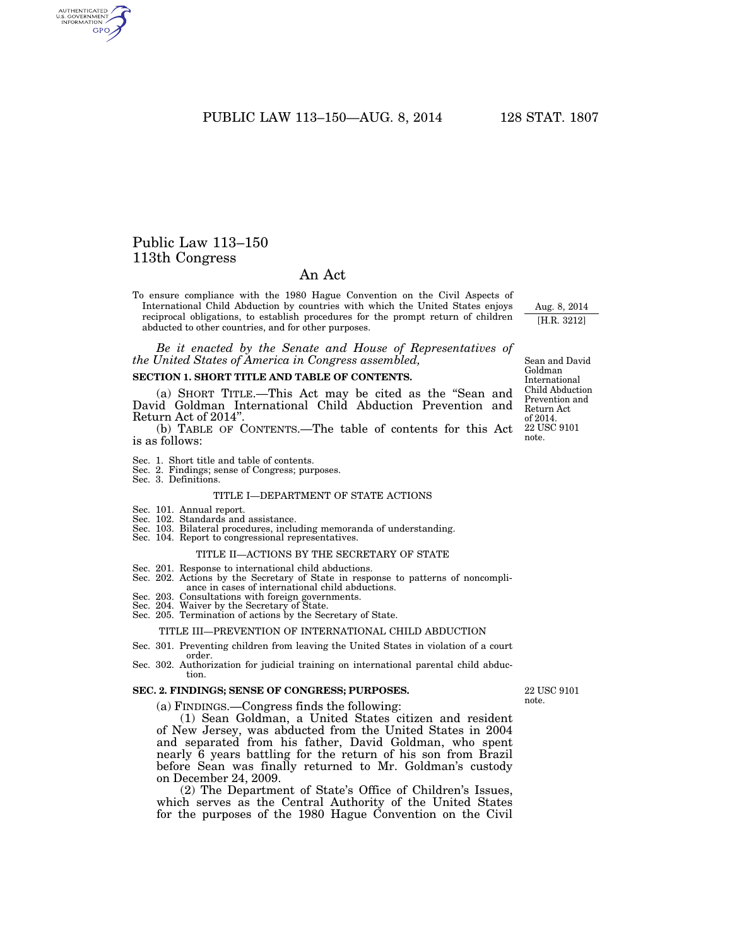PUBLIC LAW 113–150—AUG. 8, 2014 128 STAT. 1807

# Public Law 113–150 113th Congress

AUTHENTICATED<br>U.S. GOVERNMENT<br>INFORMATION **GPO** 

# An Act

To ensure compliance with the 1980 Hague Convention on the Civil Aspects of International Child Abduction by countries with which the United States enjoys reciprocal obligations, to establish procedures for the prompt return of children abducted to other countries, and for other purposes.

*Be it enacted by the Senate and House of Representatives of the United States of America in Congress assembled,* 

#### **SECTION 1. SHORT TITLE AND TABLE OF CONTENTS.**

(a) SHORT TITLE.—This Act may be cited as the ''Sean and David Goldman International Child Abduction Prevention and Return Act of 2014''.

(b) TABLE OF CONTENTS.—The table of contents for this Act is as follows:

- 
- Sec. 1. Short title and table of contents. Sec. 2. Findings; sense of Congress; purposes.
- Sec. 3. Definitions.

#### TITLE I—DEPARTMENT OF STATE ACTIONS

- Sec. 101. Annual report.
- Sec. 102. Standards and assistance.
- Sec. 103. Bilateral procedures, including memoranda of understanding.
- Sec. 104. Report to congressional representatives.

#### TITLE II—ACTIONS BY THE SECRETARY OF STATE

- Sec. 201. Response to international child abductions.
- Sec. 202. Actions by the Secretary of State in response to patterns of noncompliance in cases of international child abductions.
- 
- Sec. 203. Consultations with foreign governments. Sec. 204. Waiver by the Secretary of State. Sec. 205. Termination of actions by the Secretary of State.

# TITLE III—PREVENTION OF INTERNATIONAL CHILD ABDUCTION

# Sec. 301. Preventing children from leaving the United States in violation of a court

order. Sec. 302. Authorization for judicial training on international parental child abduction.

#### **SEC. 2. FINDINGS; SENSE OF CONGRESS; PURPOSES.**

(a) FINDINGS.—Congress finds the following:

(1) Sean Goldman, a United States citizen and resident of New Jersey, was abducted from the United States in 2004 and separated from his father, David Goldman, who spent nearly 6 years battling for the return of his son from Brazil before Sean was finally returned to Mr. Goldman's custody on December 24, 2009.

(2) The Department of State's Office of Children's Issues, which serves as the Central Authority of the United States for the purposes of the 1980 Hague Convention on the Civil

Sean and David Goldman International Child Abduction Prevention and Return Act of 2014. 22 USC 9101 note.

Aug. 8, 2014 [H.R. 3212]

22 USC 9101 note.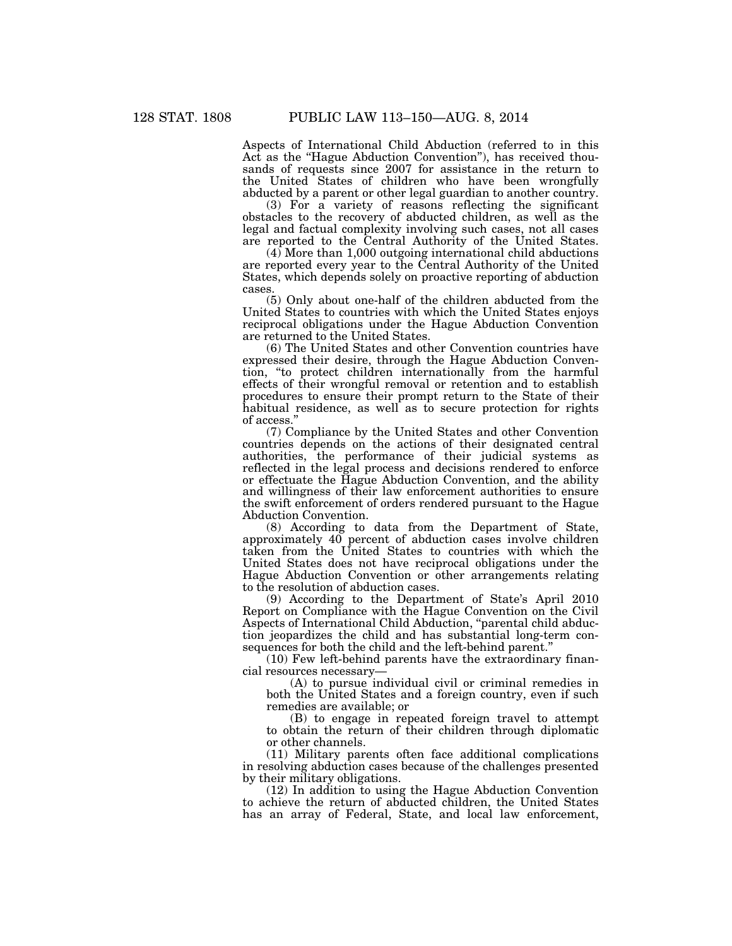Aspects of International Child Abduction (referred to in this Act as the "Hague Abduction Convention"), has received thousands of requests since 2007 for assistance in the return to the United States of children who have been wrongfully abducted by a parent or other legal guardian to another country.

(3) For a variety of reasons reflecting the significant obstacles to the recovery of abducted children, as well as the legal and factual complexity involving such cases, not all cases are reported to the Central Authority of the United States.

 $(4)$  More than 1,000 outgoing international child abductions are reported every year to the Central Authority of the United States, which depends solely on proactive reporting of abduction cases.

(5) Only about one-half of the children abducted from the United States to countries with which the United States enjoys reciprocal obligations under the Hague Abduction Convention are returned to the United States.

(6) The United States and other Convention countries have expressed their desire, through the Hague Abduction Convention, ''to protect children internationally from the harmful effects of their wrongful removal or retention and to establish procedures to ensure their prompt return to the State of their habitual residence, as well as to secure protection for rights of access.''

(7) Compliance by the United States and other Convention countries depends on the actions of their designated central authorities, the performance of their judicial systems as reflected in the legal process and decisions rendered to enforce or effectuate the Hague Abduction Convention, and the ability and willingness of their law enforcement authorities to ensure the swift enforcement of orders rendered pursuant to the Hague Abduction Convention.

(8) According to data from the Department of State, approximately 40 percent of abduction cases involve children taken from the United States to countries with which the United States does not have reciprocal obligations under the Hague Abduction Convention or other arrangements relating to the resolution of abduction cases.

(9) According to the Department of State's April 2010 Report on Compliance with the Hague Convention on the Civil Aspects of International Child Abduction, ''parental child abduction jeopardizes the child and has substantial long-term consequences for both the child and the left-behind parent.''

(10) Few left-behind parents have the extraordinary financial resources necessary—

(A) to pursue individual civil or criminal remedies in both the United States and a foreign country, even if such remedies are available; or

(B) to engage in repeated foreign travel to attempt to obtain the return of their children through diplomatic or other channels.

(11) Military parents often face additional complications in resolving abduction cases because of the challenges presented by their military obligations.

(12) In addition to using the Hague Abduction Convention to achieve the return of abducted children, the United States has an array of Federal, State, and local law enforcement,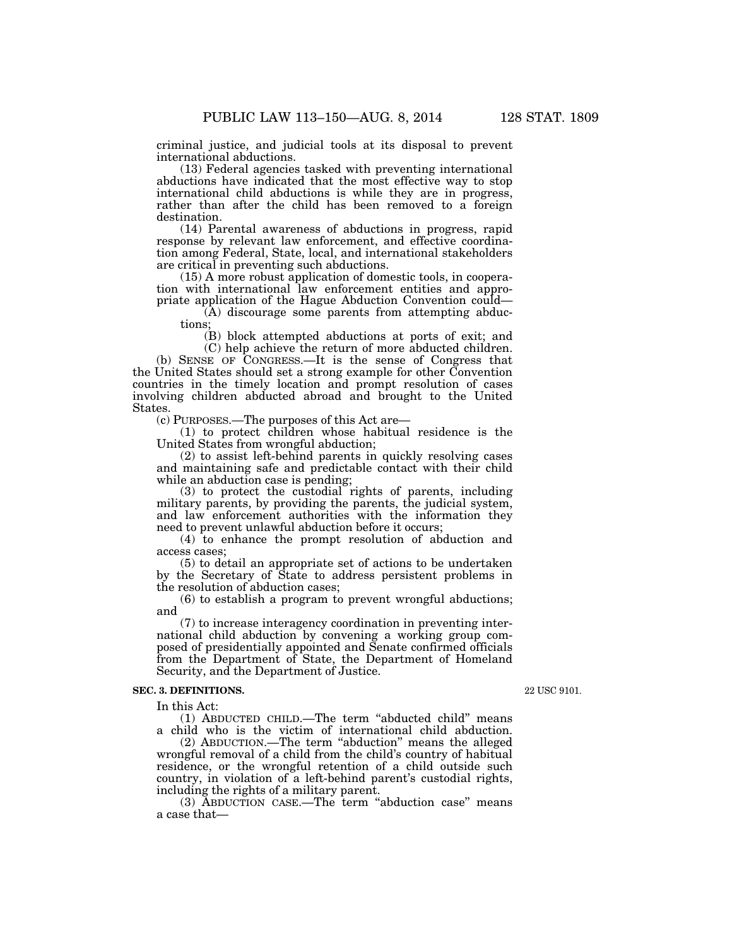criminal justice, and judicial tools at its disposal to prevent international abductions.

(13) Federal agencies tasked with preventing international abductions have indicated that the most effective way to stop international child abductions is while they are in progress, rather than after the child has been removed to a foreign destination.

(14) Parental awareness of abductions in progress, rapid response by relevant law enforcement, and effective coordination among Federal, State, local, and international stakeholders are critical in preventing such abductions.

(15) A more robust application of domestic tools, in cooperation with international law enforcement entities and appropriate application of the Hague Abduction Convention could—

(A) discourage some parents from attempting abductions;

(B) block attempted abductions at ports of exit; and (C) help achieve the return of more abducted children.

(b) SENSE OF CONGRESS.—It is the sense of Congress that the United States should set a strong example for other Convention countries in the timely location and prompt resolution of cases involving children abducted abroad and brought to the United States.

(c) PURPOSES.—The purposes of this Act are—

(1) to protect children whose habitual residence is the United States from wrongful abduction;

(2) to assist left-behind parents in quickly resolving cases and maintaining safe and predictable contact with their child while an abduction case is pending;

(3) to protect the custodial rights of parents, including military parents, by providing the parents, the judicial system, and law enforcement authorities with the information they need to prevent unlawful abduction before it occurs;

(4) to enhance the prompt resolution of abduction and access cases;

(5) to detail an appropriate set of actions to be undertaken by the Secretary of State to address persistent problems in the resolution of abduction cases;

(6) to establish a program to prevent wrongful abductions; and

(7) to increase interagency coordination in preventing international child abduction by convening a working group composed of presidentially appointed and Senate confirmed officials from the Department of State, the Department of Homeland Security, and the Department of Justice.

### **SEC. 3. DEFINITIONS.**

In this Act:

(1) ABDUCTED CHILD.—The term ''abducted child'' means a child who is the victim of international child abduction.

(2) ABDUCTION.—The term ''abduction'' means the alleged wrongful removal of a child from the child's country of habitual residence, or the wrongful retention of a child outside such country, in violation of a left-behind parent's custodial rights, including the rights of a military parent.

(3) ABDUCTION CASE.—The term ''abduction case'' means a case that—

22 USC 9101.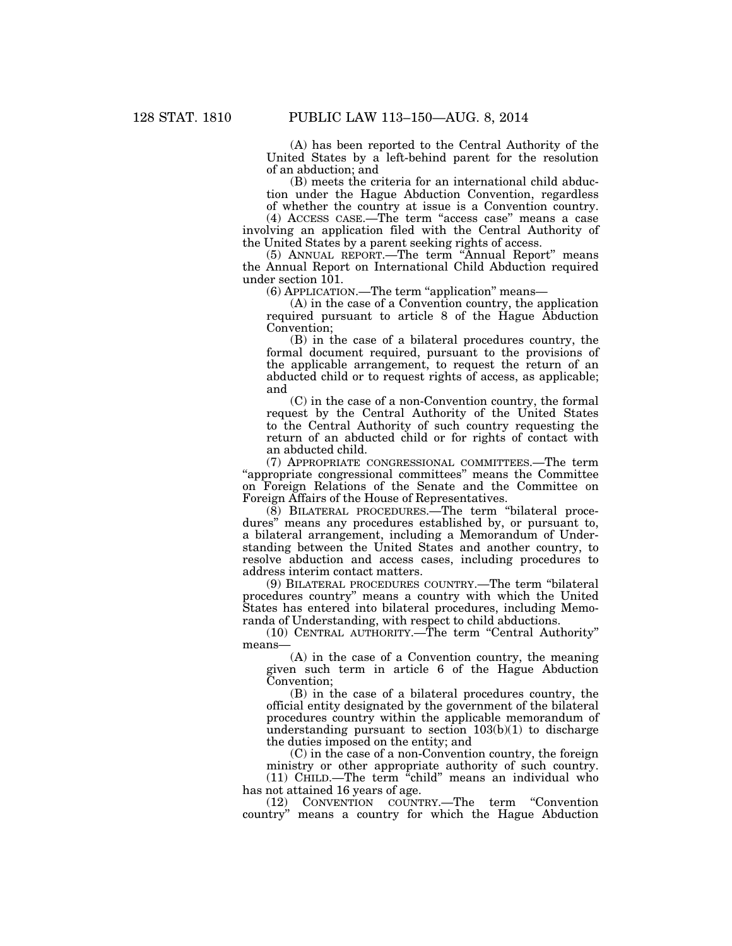(A) has been reported to the Central Authority of the United States by a left-behind parent for the resolution of an abduction; and

(B) meets the criteria for an international child abduction under the Hague Abduction Convention, regardless of whether the country at issue is a Convention country.

(4) ACCESS CASE.—The term ''access case'' means a case involving an application filed with the Central Authority of the United States by a parent seeking rights of access.

(5) ANNUAL REPORT.—The term ''Annual Report'' means the Annual Report on International Child Abduction required under section 101.

(6) APPLICATION.—The term ''application'' means—

(A) in the case of a Convention country, the application required pursuant to article 8 of the Hague Abduction Convention;

(B) in the case of a bilateral procedures country, the formal document required, pursuant to the provisions of the applicable arrangement, to request the return of an abducted child or to request rights of access, as applicable; and

(C) in the case of a non-Convention country, the formal request by the Central Authority of the United States to the Central Authority of such country requesting the return of an abducted child or for rights of contact with an abducted child.

(7) APPROPRIATE CONGRESSIONAL COMMITTEES.—The term ''appropriate congressional committees'' means the Committee on Foreign Relations of the Senate and the Committee on Foreign Affairs of the House of Representatives.

(8) BILATERAL PROCEDURES.—The term ''bilateral procedures'' means any procedures established by, or pursuant to, a bilateral arrangement, including a Memorandum of Understanding between the United States and another country, to resolve abduction and access cases, including procedures to address interim contact matters.

(9) BILATERAL PROCEDURES COUNTRY.—The term ''bilateral procedures country'' means a country with which the United States has entered into bilateral procedures, including Memoranda of Understanding, with respect to child abductions.

(10) CENTRAL AUTHORITY.—The term ''Central Authority'' means—

(A) in the case of a Convention country, the meaning given such term in article 6 of the Hague Abduction Convention;

(B) in the case of a bilateral procedures country, the official entity designated by the government of the bilateral procedures country within the applicable memorandum of understanding pursuant to section  $103(b)(1)$  to discharge the duties imposed on the entity; and

(C) in the case of a non-Convention country, the foreign ministry or other appropriate authority of such country. (11) CHILD.—The term ''child'' means an individual who

has not attained 16 years of age.

(12) CONVENTION COUNTRY.—The term ''Convention country'' means a country for which the Hague Abduction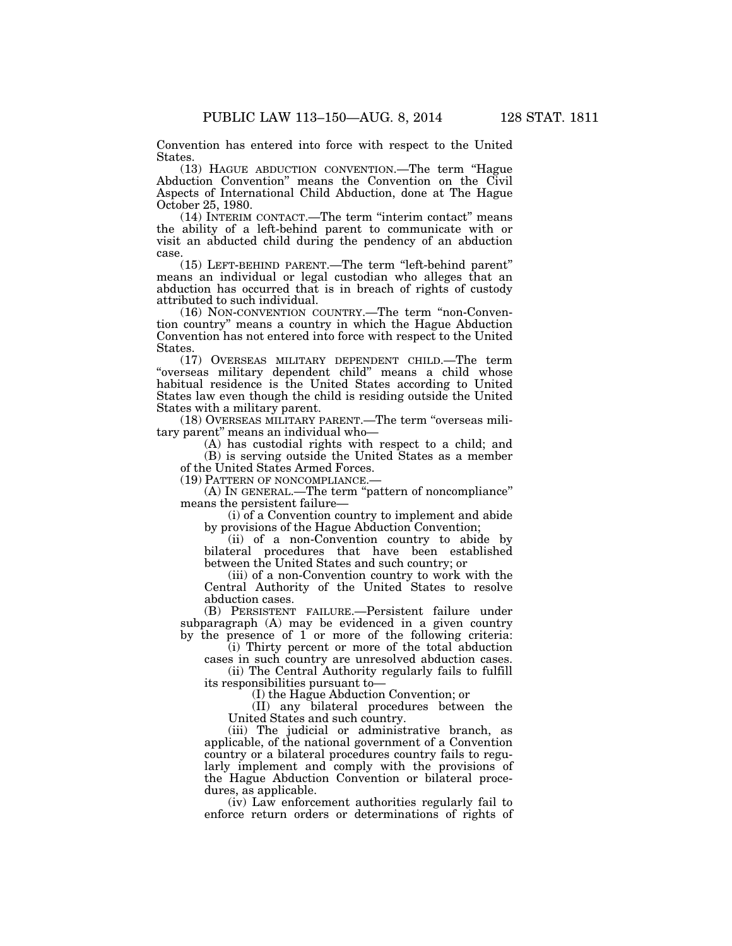Convention has entered into force with respect to the United States.

(13) HAGUE ABDUCTION CONVENTION.—The term ''Hague Abduction Convention'' means the Convention on the Civil Aspects of International Child Abduction, done at The Hague October 25, 1980.

(14) INTERIM CONTACT.—The term ''interim contact'' means the ability of a left-behind parent to communicate with or visit an abducted child during the pendency of an abduction case.

(15) LEFT-BEHIND PARENT.—The term ''left-behind parent'' means an individual or legal custodian who alleges that an abduction has occurred that is in breach of rights of custody attributed to such individual.

(16) NON-CONVENTION COUNTRY.—The term ''non-Convention country'' means a country in which the Hague Abduction Convention has not entered into force with respect to the United States.

(17) OVERSEAS MILITARY DEPENDENT CHILD.—The term ''overseas military dependent child'' means a child whose habitual residence is the United States according to United States law even though the child is residing outside the United States with a military parent.

(18) OVERSEAS MILITARY PARENT.—The term ''overseas military parent'' means an individual who—

(A) has custodial rights with respect to a child; and (B) is serving outside the United States as a member

of the United States Armed Forces.

(19) PATTERN OF NONCOMPLIANCE.—

(A) IN GENERAL.—The term ''pattern of noncompliance'' means the persistent failure—

(i) of a Convention country to implement and abide by provisions of the Hague Abduction Convention;

(ii) of a non-Convention country to abide by bilateral procedures that have been established between the United States and such country; or

(iii) of a non-Convention country to work with the Central Authority of the United States to resolve abduction cases.

(B) PERSISTENT FAILURE.—Persistent failure under subparagraph (A) may be evidenced in a given country by the presence of 1 or more of the following criteria:

(i) Thirty percent or more of the total abduction cases in such country are unresolved abduction cases.

(ii) The Central Authority regularly fails to fulfill its responsibilities pursuant to—

(I) the Hague Abduction Convention; or

(II) any bilateral procedures between the United States and such country.

(iii) The judicial or administrative branch, as applicable, of the national government of a Convention country or a bilateral procedures country fails to regularly implement and comply with the provisions of the Hague Abduction Convention or bilateral procedures, as applicable.

(iv) Law enforcement authorities regularly fail to enforce return orders or determinations of rights of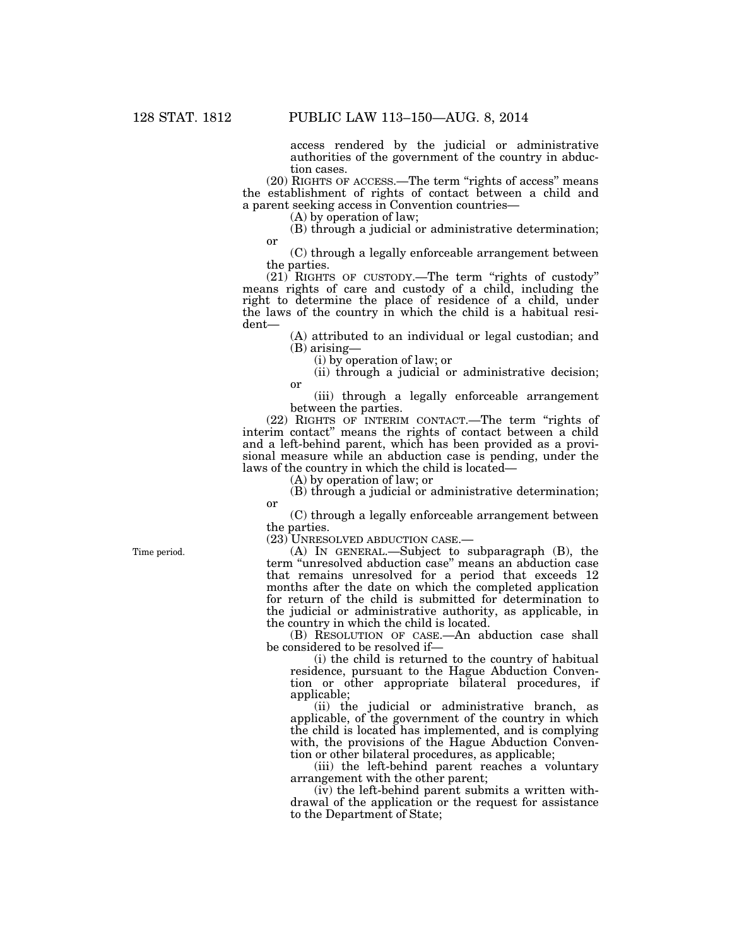access rendered by the judicial or administrative authorities of the government of the country in abduction cases.

(20) RIGHTS OF ACCESS.—The term ''rights of access'' means the establishment of rights of contact between a child and a parent seeking access in Convention countries—

(A) by operation of law;

(B) through a judicial or administrative determination; or

(C) through a legally enforceable arrangement between the parties.

 $(21)$  RIGHTS OF CUSTODY.—The term "rights of custody" means rights of care and custody of a child, including the right to determine the place of residence of a child, under the laws of the country in which the child is a habitual resident—

> (A) attributed to an individual or legal custodian; and (B) arising—

(i) by operation of law; or

(ii) through a judicial or administrative decision; or

(iii) through a legally enforceable arrangement between the parties.

(22) RIGHTS OF INTERIM CONTACT.—The term "rights of interim contact'' means the rights of contact between a child and a left-behind parent, which has been provided as a provisional measure while an abduction case is pending, under the laws of the country in which the child is located—

(A) by operation of law; or

(B) through a judicial or administrative determination; or

(C) through a legally enforceable arrangement between the parties.

(23) UNRESOLVED ABDUCTION CASE.—

(A) IN GENERAL.—Subject to subparagraph (B), the term ''unresolved abduction case'' means an abduction case that remains unresolved for a period that exceeds 12 months after the date on which the completed application for return of the child is submitted for determination to the judicial or administrative authority, as applicable, in the country in which the child is located.

(B) RESOLUTION OF CASE.—An abduction case shall be considered to be resolved if—

(i) the child is returned to the country of habitual residence, pursuant to the Hague Abduction Convention or other appropriate bilateral procedures, if applicable;

(ii) the judicial or administrative branch, as applicable, of the government of the country in which the child is located has implemented, and is complying with, the provisions of the Hague Abduction Convention or other bilateral procedures, as applicable;

(iii) the left-behind parent reaches a voluntary arrangement with the other parent;

(iv) the left-behind parent submits a written withdrawal of the application or the request for assistance to the Department of State;

Time period.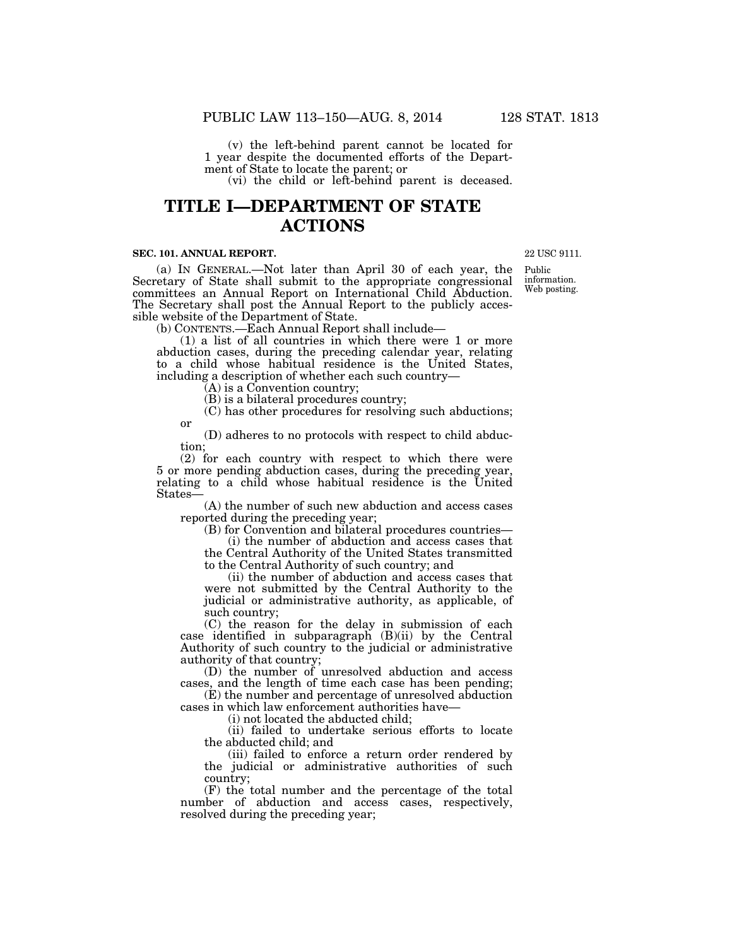(v) the left-behind parent cannot be located for 1 year despite the documented efforts of the Department of State to locate the parent; or

(vi) the child or left-behind parent is deceased.

# **TITLE I—DEPARTMENT OF STATE ACTIONS**

### **SEC. 101. ANNUAL REPORT.**

(a) IN GENERAL.—Not later than April 30 of each year, the Secretary of State shall submit to the appropriate congressional committees an Annual Report on International Child Abduction. The Secretary shall post the Annual Report to the publicly accessible website of the Department of State.

(b) CONTENTS.—Each Annual Report shall include—

(1) a list of all countries in which there were 1 or more abduction cases, during the preceding calendar year, relating to a child whose habitual residence is the United States, including a description of whether each such country—

 $\tilde{A}$ ) is a Convention country;

(B) is a bilateral procedures country;

(C) has other procedures for resolving such abductions; or

(D) adheres to no protocols with respect to child abduction;

(2) for each country with respect to which there were 5 or more pending abduction cases, during the preceding year, relating to a child whose habitual residence is the United States—

(A) the number of such new abduction and access cases reported during the preceding year;

(B) for Convention and bilateral procedures countries—

(i) the number of abduction and access cases that the Central Authority of the United States transmitted to the Central Authority of such country; and

(ii) the number of abduction and access cases that were not submitted by the Central Authority to the judicial or administrative authority, as applicable, of such country;

(C) the reason for the delay in submission of each case identified in subparagraph (B)(ii) by the Central Authority of such country to the judicial or administrative authority of that country;

(D) the number of unresolved abduction and access cases, and the length of time each case has been pending;

(E) the number and percentage of unresolved abduction cases in which law enforcement authorities have—

(i) not located the abducted child;

(ii) failed to undertake serious efforts to locate the abducted child; and

(iii) failed to enforce a return order rendered by the judicial or administrative authorities of such country;

(F) the total number and the percentage of the total number of abduction and access cases, respectively, resolved during the preceding year;

22 USC 9111.

Public information. Web posting.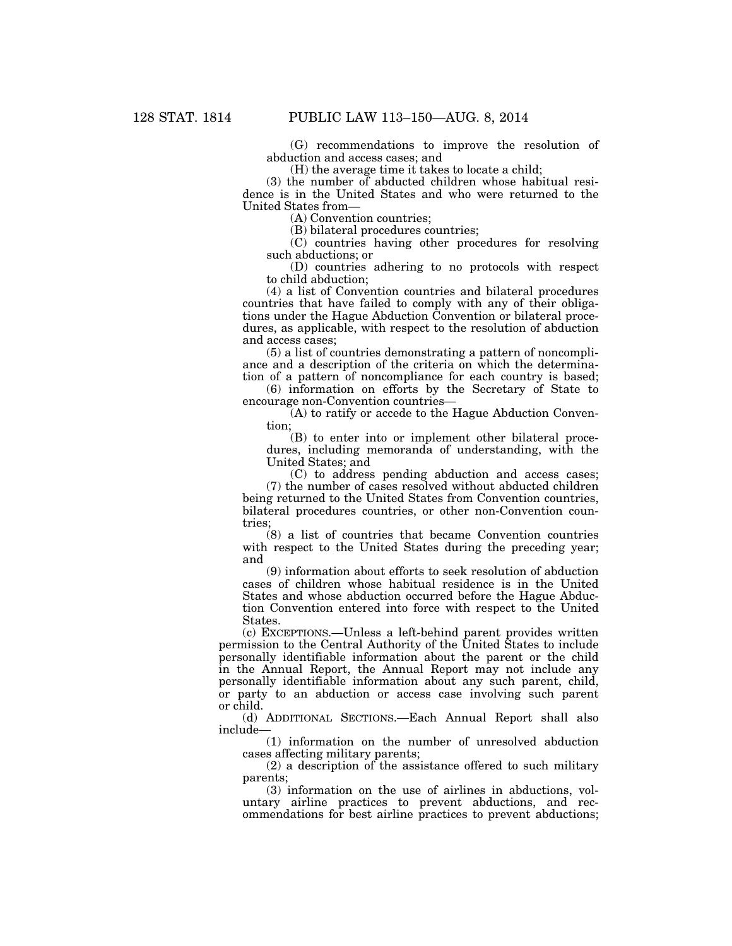(G) recommendations to improve the resolution of abduction and access cases; and

(H) the average time it takes to locate a child;

(3) the number of abducted children whose habitual residence is in the United States and who were returned to the United States from—

(A) Convention countries;

(B) bilateral procedures countries;

(C) countries having other procedures for resolving such abductions; or

(D) countries adhering to no protocols with respect to child abduction;

(4) a list of Convention countries and bilateral procedures countries that have failed to comply with any of their obligations under the Hague Abduction Convention or bilateral procedures, as applicable, with respect to the resolution of abduction and access cases;

(5) a list of countries demonstrating a pattern of noncompliance and a description of the criteria on which the determination of a pattern of noncompliance for each country is based;

(6) information on efforts by the Secretary of State to encourage non-Convention countries—

(A) to ratify or accede to the Hague Abduction Convention;

(B) to enter into or implement other bilateral procedures, including memoranda of understanding, with the United States; and

(C) to address pending abduction and access cases; (7) the number of cases resolved without abducted children being returned to the United States from Convention countries, bilateral procedures countries, or other non-Convention countries;

(8) a list of countries that became Convention countries with respect to the United States during the preceding year; and

(9) information about efforts to seek resolution of abduction cases of children whose habitual residence is in the United States and whose abduction occurred before the Hague Abduction Convention entered into force with respect to the United States.

(c) EXCEPTIONS.—Unless a left-behind parent provides written permission to the Central Authority of the United States to include personally identifiable information about the parent or the child in the Annual Report, the Annual Report may not include any personally identifiable information about any such parent, child, or party to an abduction or access case involving such parent or child.

(d) ADDITIONAL SECTIONS.—Each Annual Report shall also include—

(1) information on the number of unresolved abduction cases affecting military parents;

(2) a description of the assistance offered to such military parents;

(3) information on the use of airlines in abductions, voluntary airline practices to prevent abductions, and recommendations for best airline practices to prevent abductions;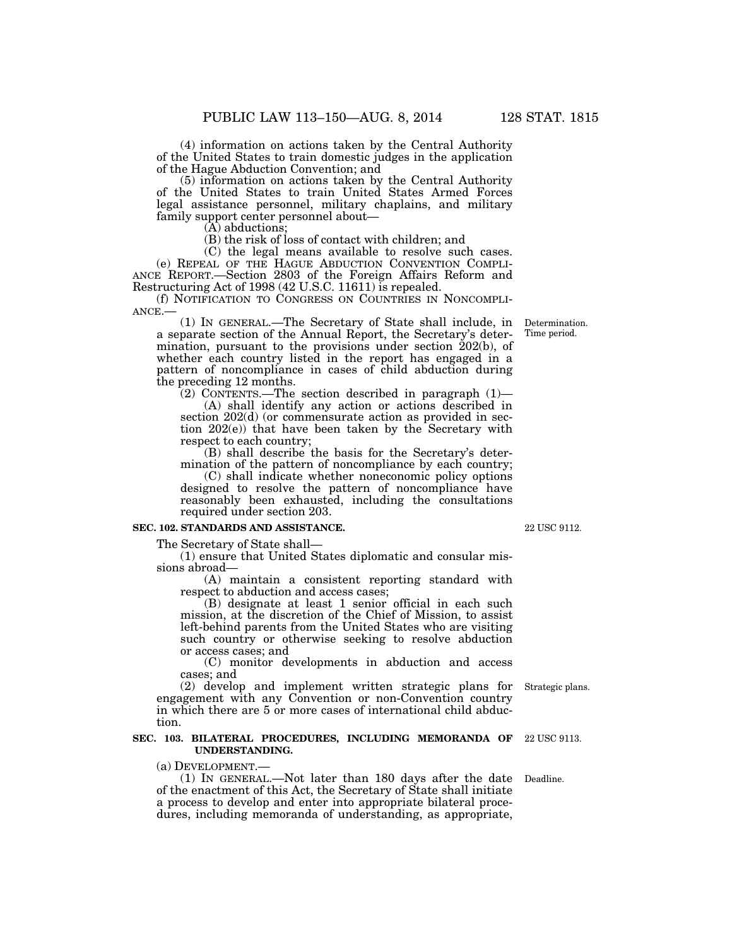(4) information on actions taken by the Central Authority of the United States to train domestic judges in the application of the Hague Abduction Convention; and

(5) information on actions taken by the Central Authority of the United States to train United States Armed Forces legal assistance personnel, military chaplains, and military family support center personnel about—

(A) abductions;

(B) the risk of loss of contact with children; and

(C) the legal means available to resolve such cases. (e) REPEAL OF THE HAGUE ABDUCTION CONVENTION COMPLI- ANCE REPORT.—Section 2803 of the Foreign Affairs Reform and Restructuring Act of 1998 (42 U.S.C. 11611) is repealed.<br>(f) NOTIFICATION TO CONGRESS ON COUNTRIES IN NONCOMPLI-

 $ANEE$ .— (1) In GENERAL.—The Secretary of State shall include, in

a separate section of the Annual Report, the Secretary's determination, pursuant to the provisions under section 202(b), of whether each country listed in the report has engaged in a pattern of noncompliance in cases of child abduction during the preceding 12 months.

 $(2)$  CONTENTS.—The section described in paragraph  $(1)$ — (A) shall identify any action or actions described in section 202(d) (or commensurate action as provided in section 202(e)) that have been taken by the Secretary with respect to each country;

(B) shall describe the basis for the Secretary's determination of the pattern of noncompliance by each country;

(C) shall indicate whether noneconomic policy options designed to resolve the pattern of noncompliance have reasonably been exhausted, including the consultations required under section 203.

### **SEC. 102. STANDARDS AND ASSISTANCE.**

The Secretary of State shall—

(1) ensure that United States diplomatic and consular missions abroad—

(A) maintain a consistent reporting standard with respect to abduction and access cases;

(B) designate at least 1 senior official in each such mission, at the discretion of the Chief of Mission, to assist left-behind parents from the United States who are visiting such country or otherwise seeking to resolve abduction or access cases; and

(C) monitor developments in abduction and access cases; and

(2) develop and implement written strategic plans for Strategic plans. engagement with any Convention or non-Convention country

in which there are 5 or more cases of international child abduction.

### **SEC. 103. BILATERAL PROCEDURES, INCLUDING MEMORANDA OF UNDERSTANDING.**

(a) DEVELOPMENT.—

(1) IN GENERAL.—Not later than 180 days after the date Deadline. of the enactment of this Act, the Secretary of State shall initiate a process to develop and enter into appropriate bilateral procedures, including memoranda of understanding, as appropriate,

22 USC 9112.

22 USC 9113.

Determination. Time period.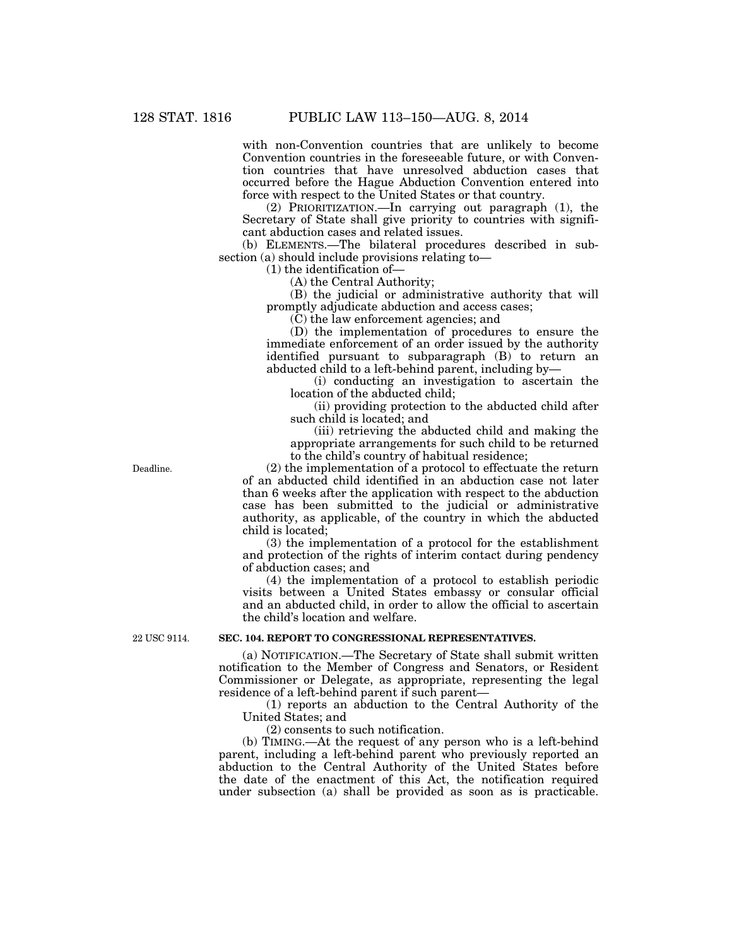with non-Convention countries that are unlikely to become Convention countries in the foreseeable future, or with Convention countries that have unresolved abduction cases that occurred before the Hague Abduction Convention entered into force with respect to the United States or that country.

(2) PRIORITIZATION.—In carrying out paragraph (1), the Secretary of State shall give priority to countries with significant abduction cases and related issues.

(b) ELEMENTS.—The bilateral procedures described in subsection (a) should include provisions relating to—

(1) the identification of—

(A) the Central Authority;

(B) the judicial or administrative authority that will promptly adjudicate abduction and access cases;

(C) the law enforcement agencies; and

(D) the implementation of procedures to ensure the immediate enforcement of an order issued by the authority identified pursuant to subparagraph (B) to return an abducted child to a left-behind parent, including by—

(i) conducting an investigation to ascertain the location of the abducted child;

(ii) providing protection to the abducted child after such child is located; and

(iii) retrieving the abducted child and making the appropriate arrangements for such child to be returned to the child's country of habitual residence;

(2) the implementation of a protocol to effectuate the return of an abducted child identified in an abduction case not later than 6 weeks after the application with respect to the abduction case has been submitted to the judicial or administrative authority, as applicable, of the country in which the abducted child is located;

(3) the implementation of a protocol for the establishment and protection of the rights of interim contact during pendency of abduction cases; and

(4) the implementation of a protocol to establish periodic visits between a United States embassy or consular official and an abducted child, in order to allow the official to ascertain the child's location and welfare.

22 USC 9114.

# **SEC. 104. REPORT TO CONGRESSIONAL REPRESENTATIVES.**

(a) NOTIFICATION.—The Secretary of State shall submit written notification to the Member of Congress and Senators, or Resident Commissioner or Delegate, as appropriate, representing the legal residence of a left-behind parent if such parent—

(1) reports an abduction to the Central Authority of the United States; and

(2) consents to such notification.

(b) TIMING.—At the request of any person who is a left-behind parent, including a left-behind parent who previously reported an abduction to the Central Authority of the United States before the date of the enactment of this Act, the notification required under subsection (a) shall be provided as soon as is practicable.

Deadline.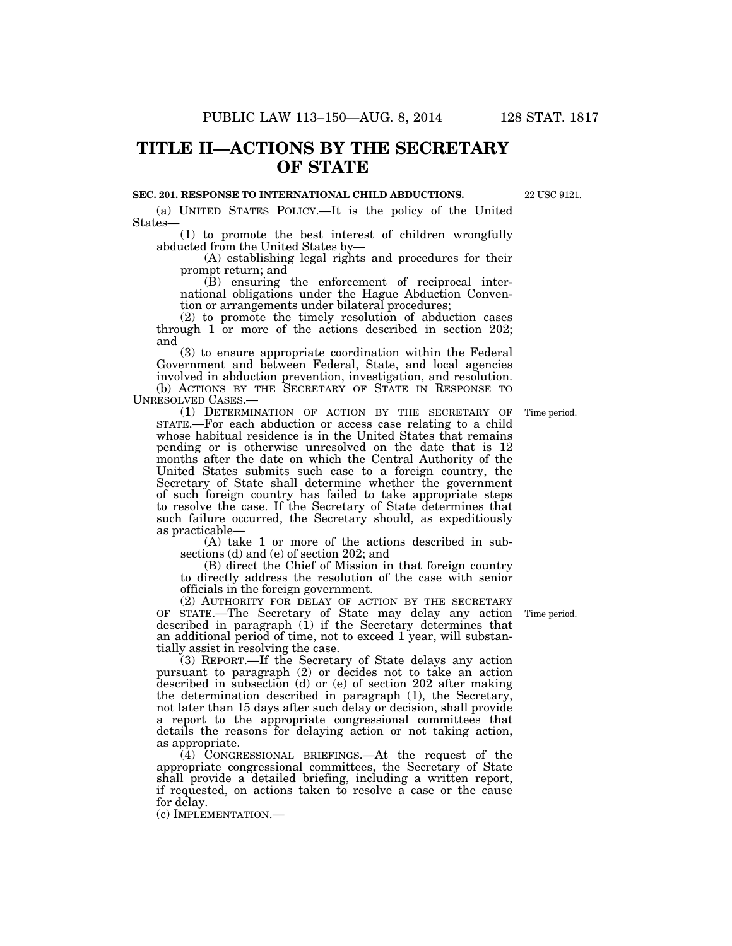# **TITLE II—ACTIONS BY THE SECRETARY OF STATE**

### **SEC. 201. RESPONSE TO INTERNATIONAL CHILD ABDUCTIONS.**

(a) UNITED STATES POLICY.—It is the policy of the United States—

(1) to promote the best interest of children wrongfully abducted from the United States by—

(A) establishing legal rights and procedures for their prompt return; and

(B) ensuring the enforcement of reciprocal international obligations under the Hague Abduction Convention or arrangements under bilateral procedures;

(2) to promote the timely resolution of abduction cases through 1 or more of the actions described in section 202; and

(3) to ensure appropriate coordination within the Federal Government and between Federal, State, and local agencies involved in abduction prevention, investigation, and resolution. (b) ACTIONS BY THE SECRETARY OF STATE IN RESPONSE TO UNRESOLVED CASES.—

(1) DETERMINATION OF ACTION BY THE SECRETARY OF STATE.—For each abduction or access case relating to a child whose habitual residence is in the United States that remains pending or is otherwise unresolved on the date that is 12 months after the date on which the Central Authority of the United States submits such case to a foreign country, the Secretary of State shall determine whether the government of such foreign country has failed to take appropriate steps to resolve the case. If the Secretary of State determines that such failure occurred, the Secretary should, as expeditiously as practicable—

(A) take 1 or more of the actions described in subsections (d) and (e) of section 202; and

(B) direct the Chief of Mission in that foreign country to directly address the resolution of the case with senior officials in the foreign government.

(2) AUTHORITY FOR DELAY OF ACTION BY THE SECRETARY OF STATE.—The Secretary of State may delay any action described in paragraph (1) if the Secretary determines that an additional period of time, not to exceed 1 year, will substantially assist in resolving the case.

(3) REPORT.—If the Secretary of State delays any action pursuant to paragraph (2) or decides not to take an action described in subsection (d) or (e) of section 202 after making the determination described in paragraph (1), the Secretary, not later than 15 days after such delay or decision, shall provide a report to the appropriate congressional committees that details the reasons for delaying action or not taking action, as appropriate.

(4) CONGRESSIONAL BRIEFINGS.—At the request of the appropriate congressional committees, the Secretary of State shall provide a detailed briefing, including a written report, if requested, on actions taken to resolve a case or the cause for delay.

(c) IMPLEMENTATION.—

Time period.

Time period.

22 USC 9121.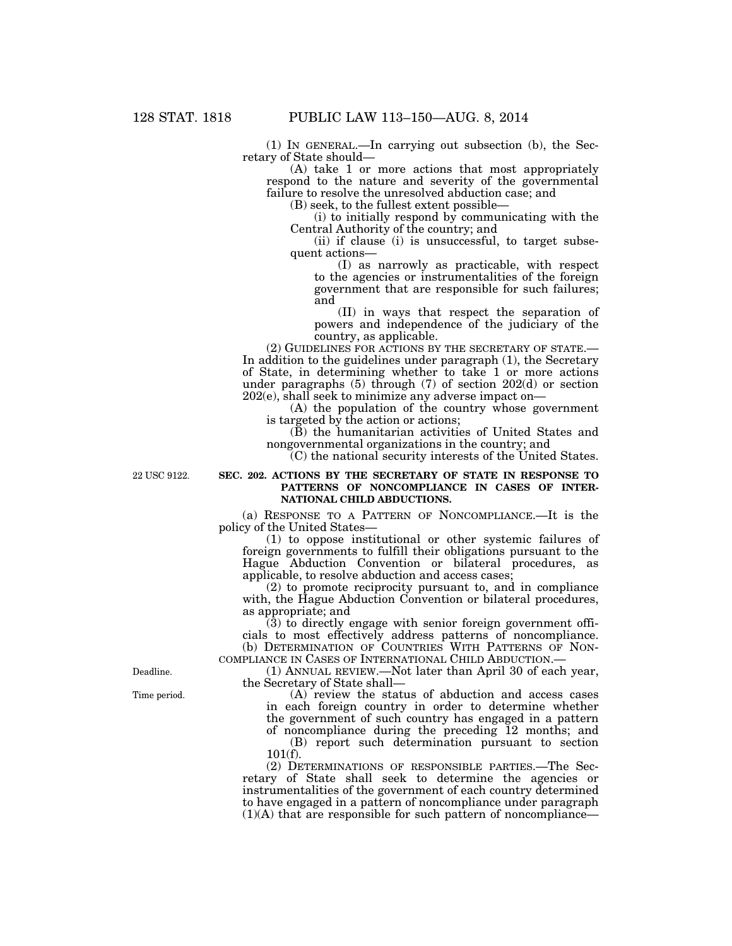(1) IN GENERAL.—In carrying out subsection (b), the Secretary of State should—

(A) take 1 or more actions that most appropriately respond to the nature and severity of the governmental failure to resolve the unresolved abduction case; and

(B) seek, to the fullest extent possible—

(i) to initially respond by communicating with the Central Authority of the country; and

(ii) if clause (i) is unsuccessful, to target subsequent actions—

(I) as narrowly as practicable, with respect to the agencies or instrumentalities of the foreign government that are responsible for such failures; and

(II) in ways that respect the separation of powers and independence of the judiciary of the country, as applicable.

(2) GUIDELINES FOR ACTIONS BY THE SECRETARY OF STATE.— In addition to the guidelines under paragraph (1), the Secretary of State, in determining whether to take 1 or more actions under paragraphs (5) through (7) of section 202(d) or section 202(e), shall seek to minimize any adverse impact on—

(A) the population of the country whose government is targeted by the action or actions;

(B) the humanitarian activities of United States and nongovernmental organizations in the country; and

(C) the national security interests of the United States.

22 USC 9122.

### **SEC. 202. ACTIONS BY THE SECRETARY OF STATE IN RESPONSE TO PATTERNS OF NONCOMPLIANCE IN CASES OF INTER-NATIONAL CHILD ABDUCTIONS.**

(a) RESPONSE TO A PATTERN OF NONCOMPLIANCE.—It is the policy of the United States—

(1) to oppose institutional or other systemic failures of foreign governments to fulfill their obligations pursuant to the Hague Abduction Convention or bilateral procedures, as applicable, to resolve abduction and access cases;

(2) to promote reciprocity pursuant to, and in compliance with, the Hague Abduction Convention or bilateral procedures, as appropriate; and

 $(3)$  to directly engage with senior foreign government officials to most effectively address patterns of noncompliance. (b) DETERMINATION OF COUNTRIES WITH PATTERNS OF NON-COMPLIANCE IN CASES OF INTERNATIONAL CHILD ABDUCTION.—

(1) ANNUAL REVIEW.—Not later than April 30 of each year, the Secretary of State shall—

(A) review the status of abduction and access cases in each foreign country in order to determine whether the government of such country has engaged in a pattern

of noncompliance during the preceding 12 months; and (B) report such determination pursuant to section 101(f).

(2) DETERMINATIONS OF RESPONSIBLE PARTIES.—The Secretary of State shall seek to determine the agencies or instrumentalities of the government of each country determined to have engaged in a pattern of noncompliance under paragraph (1)(A) that are responsible for such pattern of noncompliance—

Deadline.

Time period.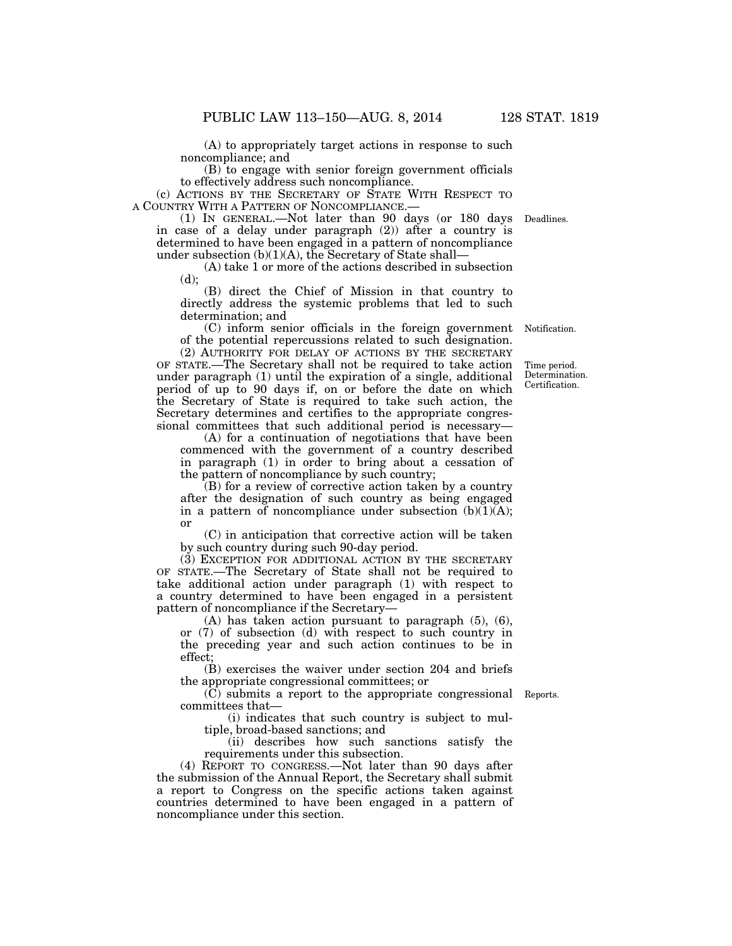(A) to appropriately target actions in response to such noncompliance; and

(B) to engage with senior foreign government officials to effectively address such noncompliance.

(c) ACTIONS BY THE SECRETARY OF STATE WITH RESPECT TO A COUNTRY WITH A PATTERN OF NONCOMPLIANCE.—

(1) IN GENERAL.—Not later than 90 days (or 180 days Deadlines. in case of a delay under paragraph (2)) after a country is determined to have been engaged in a pattern of noncompliance under subsection  $(b)(1)(A)$ , the Secretary of State shall—

(A) take 1 or more of the actions described in subsection (d);

(B) direct the Chief of Mission in that country to directly address the systemic problems that led to such determination; and

(C) inform senior officials in the foreign government of the potential repercussions related to such designation.

(2) AUTHORITY FOR DELAY OF ACTIONS BY THE SECRETARY OF STATE.—The Secretary shall not be required to take action under paragraph (1) until the expiration of a single, additional period of up to 90 days if, on or before the date on which the Secretary of State is required to take such action, the Secretary determines and certifies to the appropriate congressional committees that such additional period is necessary—

(A) for a continuation of negotiations that have been commenced with the government of a country described in paragraph (1) in order to bring about a cessation of the pattern of noncompliance by such country;

(B) for a review of corrective action taken by a country after the designation of such country as being engaged in a pattern of noncompliance under subsection  $(b)(1)(A);$ or

(C) in anticipation that corrective action will be taken by such country during such 90-day period.

(3) EXCEPTION FOR ADDITIONAL ACTION BY THE SECRETARY OF STATE.—The Secretary of State shall not be required to take additional action under paragraph (1) with respect to a country determined to have been engaged in a persistent pattern of noncompliance if the Secretary—

(A) has taken action pursuant to paragraph (5), (6), or (7) of subsection (d) with respect to such country in the preceding year and such action continues to be in effect;

(B) exercises the waiver under section 204 and briefs the appropriate congressional committees; or

(C) submits a report to the appropriate congressional Reports. committees that—

(i) indicates that such country is subject to multiple, broad-based sanctions; and

(ii) describes how such sanctions satisfy the requirements under this subsection.

(4) REPORT TO CONGRESS.—Not later than 90 days after the submission of the Annual Report, the Secretary shall submit a report to Congress on the specific actions taken against countries determined to have been engaged in a pattern of noncompliance under this section.

Time period. Determination. Certification.

Notification.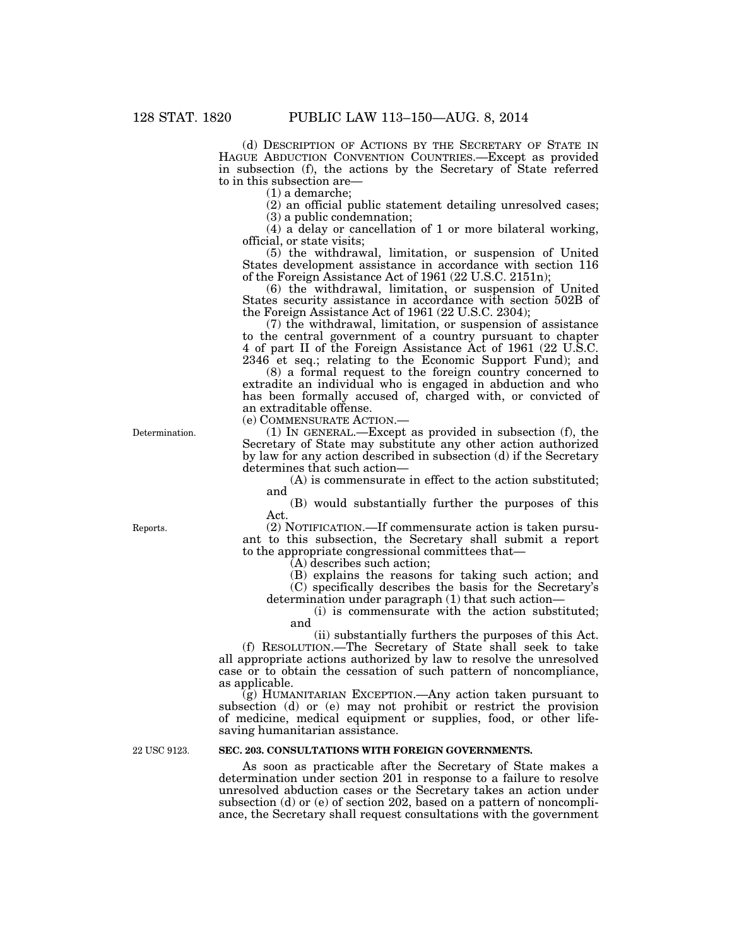(d) DESCRIPTION OF ACTIONS BY THE SECRETARY OF STATE IN HAGUE ABDUCTION CONVENTION COUNTRIES.—Except as provided in subsection (f), the actions by the Secretary of State referred to in this subsection are—

(1) a demarche;

(2) an official public statement detailing unresolved cases; (3) a public condemnation;

(4) a delay or cancellation of 1 or more bilateral working, official, or state visits;

(5) the withdrawal, limitation, or suspension of United States development assistance in accordance with section 116 of the Foreign Assistance Act of 1961 (22 U.S.C. 2151n);

(6) the withdrawal, limitation, or suspension of United States security assistance in accordance with section 502B of the Foreign Assistance Act of 1961 (22 U.S.C. 2304);

(7) the withdrawal, limitation, or suspension of assistance to the central government of a country pursuant to chapter 4 of part II of the Foreign Assistance Act of 1961 (22 U.S.C. 2346 et seq.; relating to the Economic Support Fund); and

(8) a formal request to the foreign country concerned to extradite an individual who is engaged in abduction and who has been formally accused of, charged with, or convicted of an extraditable offense.

(e) COMMENSURATE ACTION.—

(1) IN GENERAL.—Except as provided in subsection (f), the Secretary of State may substitute any other action authorized by law for any action described in subsection (d) if the Secretary determines that such action—

(A) is commensurate in effect to the action substituted; and

(B) would substantially further the purposes of this Act.

(2) NOTIFICATION.—If commensurate action is taken pursuant to this subsection, the Secretary shall submit a report to the appropriate congressional committees that—

(A) describes such action;

(B) explains the reasons for taking such action; and (C) specifically describes the basis for the Secretary's

determination under paragraph (1) that such action—

(i) is commensurate with the action substituted; and

(ii) substantially furthers the purposes of this Act. (f) RESOLUTION.—The Secretary of State shall seek to take all appropriate actions authorized by law to resolve the unresolved case or to obtain the cessation of such pattern of noncompliance, as applicable.

(g) HUMANITARIAN EXCEPTION.—Any action taken pursuant to subsection (d) or (e) may not prohibit or restrict the provision of medicine, medical equipment or supplies, food, or other lifesaving humanitarian assistance.

## **SEC. 203. CONSULTATIONS WITH FOREIGN GOVERNMENTS.**

As soon as practicable after the Secretary of State makes a determination under section 201 in response to a failure to resolve unresolved abduction cases or the Secretary takes an action under subsection (d) or (e) of section 202, based on a pattern of noncompliance, the Secretary shall request consultations with the government

Determination.

22 USC 9123.

Reports.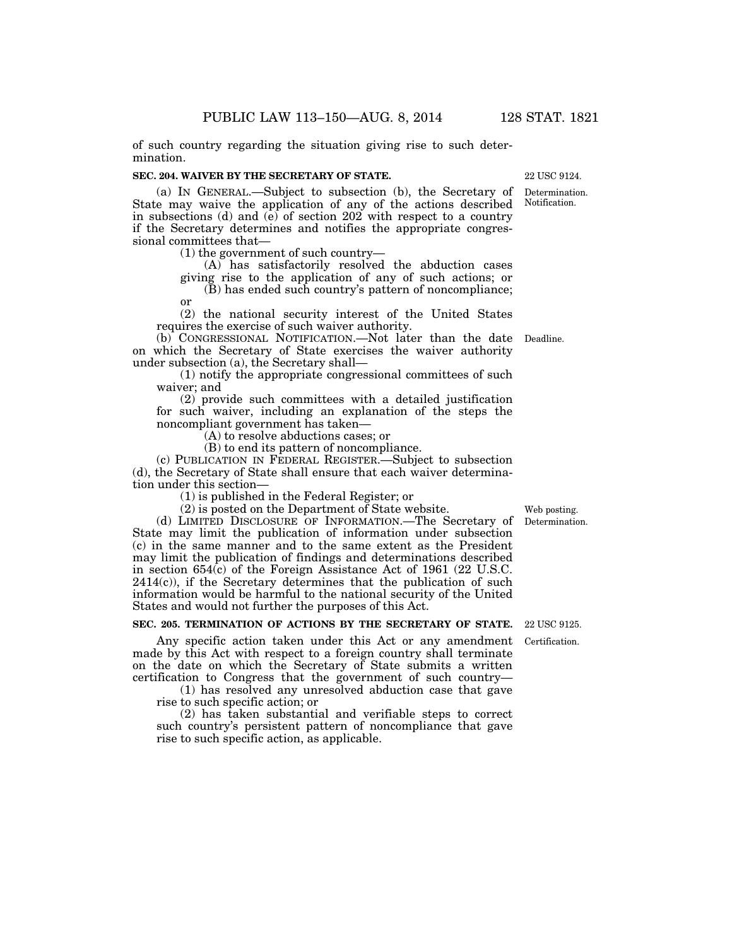of such country regarding the situation giving rise to such determination.

#### **SEC. 204. WAIVER BY THE SECRETARY OF STATE.**

(a) IN GENERAL.—Subject to subsection (b), the Secretary of State may waive the application of any of the actions described in subsections (d) and (e) of section 202 with respect to a country if the Secretary determines and notifies the appropriate congressional committees that— Notification.

(1) the government of such country—

(A) has satisfactorily resolved the abduction cases giving rise to the application of any of such actions; or (B) has ended such country's pattern of noncompliance;

or

(2) the national security interest of the United States requires the exercise of such waiver authority.

(b) CONGRESSIONAL NOTIFICATION.—Not later than the date Deadline. on which the Secretary of State exercises the waiver authority under subsection (a), the Secretary shall—

(1) notify the appropriate congressional committees of such waiver; and

(2) provide such committees with a detailed justification for such waiver, including an explanation of the steps the noncompliant government has taken—

(A) to resolve abductions cases; or

(B) to end its pattern of noncompliance.

(c) PUBLICATION IN FEDERAL REGISTER.—Subject to subsection (d), the Secretary of State shall ensure that each waiver determination under this section—

(1) is published in the Federal Register; or

(2) is posted on the Department of State website.

(d) LIMITED DISCLOSURE OF INFORMATION.—The Secretary of State may limit the publication of information under subsection (c) in the same manner and to the same extent as the President may limit the publication of findings and determinations described in section 654(c) of the Foreign Assistance Act of 1961 (22 U.S.C.  $2414(c)$ , if the Secretary determines that the publication of such information would be harmful to the national security of the United States and would not further the purposes of this Act.

## **SEC. 205. TERMINATION OF ACTIONS BY THE SECRETARY OF STATE.**

Any specific action taken under this Act or any amendment made by this Act with respect to a foreign country shall terminate on the date on which the Secretary of State submits a written certification to Congress that the government of such country—

(1) has resolved any unresolved abduction case that gave rise to such specific action; or

(2) has taken substantial and verifiable steps to correct such country's persistent pattern of noncompliance that gave rise to such specific action, as applicable.

Determination. Web posting.

22 USC 9125.

Certification.

Determination. 22 USC 9124.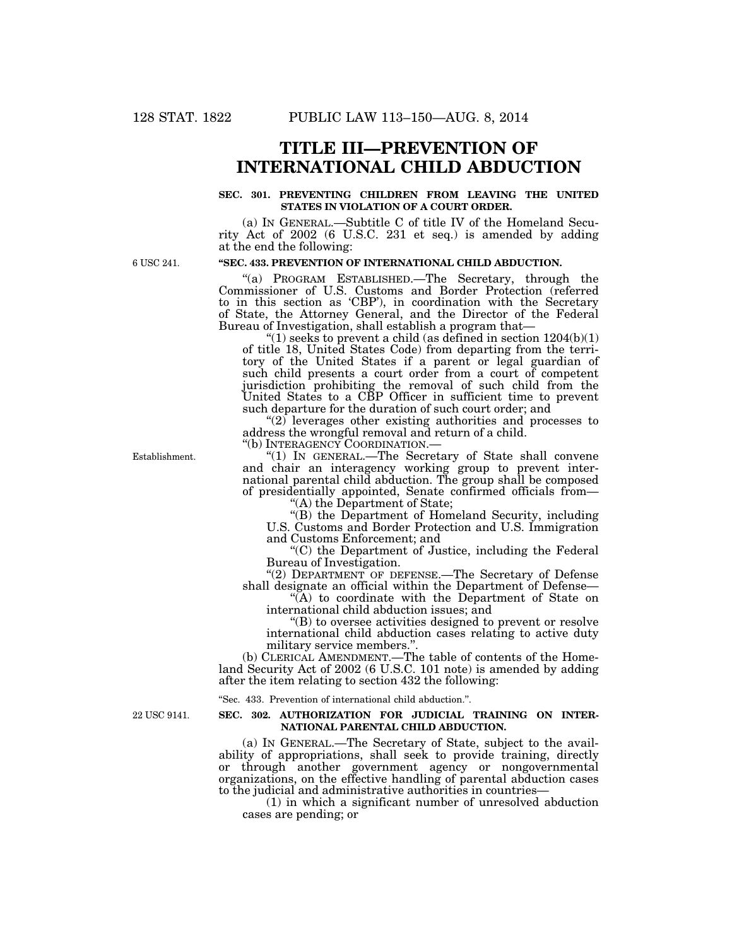# **TITLE III—PREVENTION OF INTERNATIONAL CHILD ABDUCTION**

## **SEC. 301. PREVENTING CHILDREN FROM LEAVING THE UNITED STATES IN VIOLATION OF A COURT ORDER.**

(a) IN GENERAL.—Subtitle C of title IV of the Homeland Security Act of 2002 (6 U.S.C. 231 et seq.) is amended by adding at the end the following:

6 USC 241.

# **''SEC. 433. PREVENTION OF INTERNATIONAL CHILD ABDUCTION.**

''(a) PROGRAM ESTABLISHED.—The Secretary, through the Commissioner of U.S. Customs and Border Protection (referred to in this section as 'CBP'), in coordination with the Secretary of State, the Attorney General, and the Director of the Federal Bureau of Investigation, shall establish a program that—

"(1) seeks to prevent a child (as defined in section  $1204(b)(1)$ of title 18, United States Code) from departing from the territory of the United States if a parent or legal guardian of such child presents a court order from a court of competent jurisdiction prohibiting the removal of such child from the United States to a CBP Officer in sufficient time to prevent such departure for the duration of such court order; and

 $(2)$  leverages other existing authorities and processes to address the wrongful removal and return of a child.

"(1) IN GENERAL.—The Secretary of State shall convene and chair an interagency working group to prevent international parental child abduction. The group shall be composed of presidentially appointed, Senate confirmed officials from—

''(A) the Department of State;

"(B) the Department of Homeland Security, including U.S. Customs and Border Protection and U.S. Immigration and Customs Enforcement; and

''(C) the Department of Justice, including the Federal Bureau of Investigation.

''(2) DEPARTMENT OF DEFENSE.—The Secretary of Defense shall designate an official within the Department of Defense—

''(A) to coordinate with the Department of State on international child abduction issues; and

''(B) to oversee activities designed to prevent or resolve international child abduction cases relating to active duty military service members.''.

(b) CLERICAL AMENDMENT.—The table of contents of the Homeland Security Act of 2002 (6 U.S.C. 101 note) is amended by adding after the item relating to section 432 the following:

''Sec. 433. Prevention of international child abduction.''.

### **SEC. 302. AUTHORIZATION FOR JUDICIAL TRAINING ON INTER-NATIONAL PARENTAL CHILD ABDUCTION.**

(a) IN GENERAL.—The Secretary of State, subject to the availability of appropriations, shall seek to provide training, directly or through another government agency or nongovernmental organizations, on the effective handling of parental abduction cases to the judicial and administrative authorities in countries—

(1) in which a significant number of unresolved abduction cases are pending; or

Establishment.

22 USC 9141.